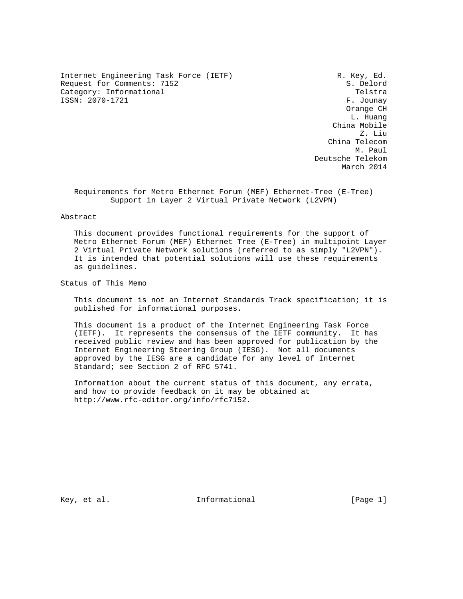Internet Engineering Task Force (IETF) R. Key, Ed. Request for Comments: 7152 S. Delord Category: Informational Telstra ISSN: 2070-1721 F. Jounay

 Orange CH L. Huang China Mobile Z. Liu China Telecom M. Paul N. Paul N. Paul N. Paul N. Paul N. Paul N. Paul N. Paul N. Paul N. Paul N. Paul N. Paul N. Paul N. Paul N. Paul N. Paul N. Paul N. Paul N. Paul N. Paul N. Paul N. Paul N. Paul N. Paul N. Paul N. Paul N. Paul N. Pau Deutsche Telekom March 2014

 Requirements for Metro Ethernet Forum (MEF) Ethernet-Tree (E-Tree) Support in Layer 2 Virtual Private Network (L2VPN)

#### Abstract

 This document provides functional requirements for the support of Metro Ethernet Forum (MEF) Ethernet Tree (E-Tree) in multipoint Layer 2 Virtual Private Network solutions (referred to as simply "L2VPN"). It is intended that potential solutions will use these requirements as guidelines.

Status of This Memo

 This document is not an Internet Standards Track specification; it is published for informational purposes.

 This document is a product of the Internet Engineering Task Force (IETF). It represents the consensus of the IETF community. It has received public review and has been approved for publication by the Internet Engineering Steering Group (IESG). Not all documents approved by the IESG are a candidate for any level of Internet Standard; see Section 2 of RFC 5741.

 Information about the current status of this document, any errata, and how to provide feedback on it may be obtained at http://www.rfc-editor.org/info/rfc7152.

Key, et al. The informational the same set of  $[Page 1]$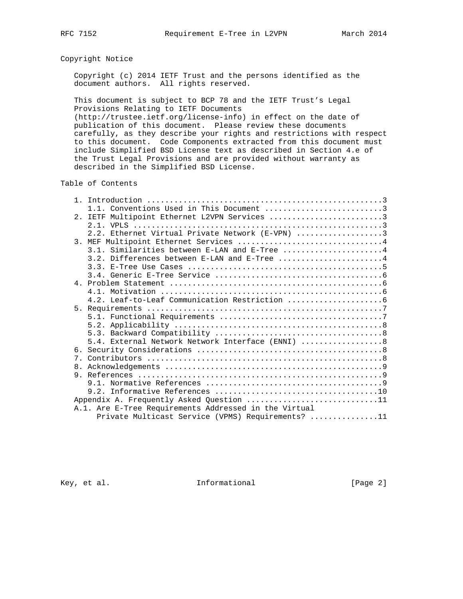## Copyright Notice

 Copyright (c) 2014 IETF Trust and the persons identified as the document authors. All rights reserved.

 This document is subject to BCP 78 and the IETF Trust's Legal Provisions Relating to IETF Documents (http://trustee.ietf.org/license-info) in effect on the date of publication of this document. Please review these documents

 carefully, as they describe your rights and restrictions with respect to this document. Code Components extracted from this document must include Simplified BSD License text as described in Section 4.e of the Trust Legal Provisions and are provided without warranty as described in the Simplified BSD License.

#### Table of Contents

|  | 1.1. Conventions Used in This Document 3              |
|--|-------------------------------------------------------|
|  | 2. IETF Multipoint Ethernet L2VPN Services 3          |
|  |                                                       |
|  | 2.2. Ethernet Virtual Private Network (E-VPN) 3       |
|  | 3. MEF Multipoint Ethernet Services 4                 |
|  | 3.1. Similarities between E-LAN and E-Tree 4          |
|  |                                                       |
|  |                                                       |
|  |                                                       |
|  |                                                       |
|  |                                                       |
|  |                                                       |
|  |                                                       |
|  |                                                       |
|  |                                                       |
|  |                                                       |
|  | 5.4. External Network Network Interface (ENNI)  8     |
|  |                                                       |
|  |                                                       |
|  |                                                       |
|  |                                                       |
|  |                                                       |
|  |                                                       |
|  | Appendix A. Frequently Asked Question 11              |
|  | A.1. Are E-Tree Requirements Addressed in the Virtual |
|  | Private Multicast Service (VPMS) Requirements? 11     |
|  |                                                       |

Key, et al.  $\qquad \qquad$  Informational [Page 2]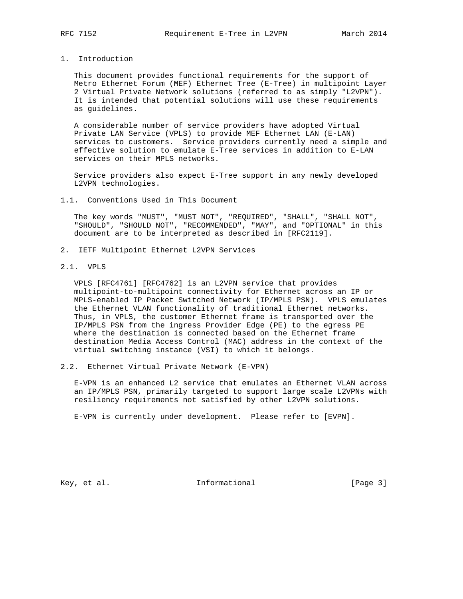## 1. Introduction

 This document provides functional requirements for the support of Metro Ethernet Forum (MEF) Ethernet Tree (E-Tree) in multipoint Layer 2 Virtual Private Network solutions (referred to as simply "L2VPN"). It is intended that potential solutions will use these requirements as guidelines.

 A considerable number of service providers have adopted Virtual Private LAN Service (VPLS) to provide MEF Ethernet LAN (E-LAN) services to customers. Service providers currently need a simple and effective solution to emulate E-Tree services in addition to E-LAN services on their MPLS networks.

 Service providers also expect E-Tree support in any newly developed L2VPN technologies.

1.1. Conventions Used in This Document

 The key words "MUST", "MUST NOT", "REQUIRED", "SHALL", "SHALL NOT", "SHOULD", "SHOULD NOT", "RECOMMENDED", "MAY", and "OPTIONAL" in this document are to be interpreted as described in [RFC2119].

- 2. IETF Multipoint Ethernet L2VPN Services
- 2.1. VPLS

 VPLS [RFC4761] [RFC4762] is an L2VPN service that provides multipoint-to-multipoint connectivity for Ethernet across an IP or MPLS-enabled IP Packet Switched Network (IP/MPLS PSN). VPLS emulates the Ethernet VLAN functionality of traditional Ethernet networks. Thus, in VPLS, the customer Ethernet frame is transported over the IP/MPLS PSN from the ingress Provider Edge (PE) to the egress PE where the destination is connected based on the Ethernet frame destination Media Access Control (MAC) address in the context of the virtual switching instance (VSI) to which it belongs.

2.2. Ethernet Virtual Private Network (E-VPN)

 E-VPN is an enhanced L2 service that emulates an Ethernet VLAN across an IP/MPLS PSN, primarily targeted to support large scale L2VPNs with resiliency requirements not satisfied by other L2VPN solutions.

E-VPN is currently under development. Please refer to [EVPN].

Key, et al. 10. Informational 1. [Page 3]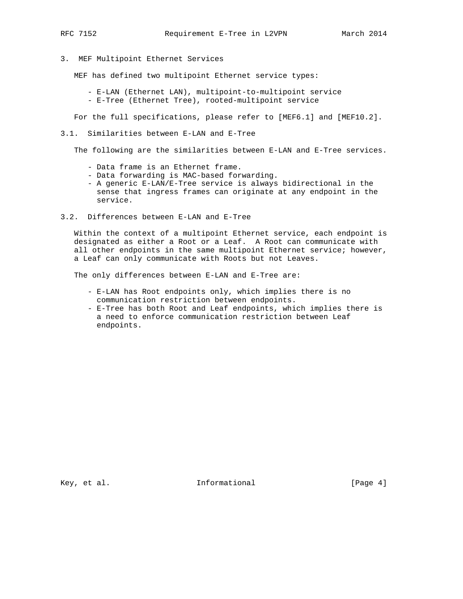3. MEF Multipoint Ethernet Services

MEF has defined two multipoint Ethernet service types:

 - E-LAN (Ethernet LAN), multipoint-to-multipoint service - E-Tree (Ethernet Tree), rooted-multipoint service

For the full specifications, please refer to [MEF6.1] and [MEF10.2].

3.1. Similarities between E-LAN and E-Tree

The following are the similarities between E-LAN and E-Tree services.

- Data frame is an Ethernet frame.
- Data forwarding is MAC-based forwarding.
- A generic E-LAN/E-Tree service is always bidirectional in the sense that ingress frames can originate at any endpoint in the service.
- 3.2. Differences between E-LAN and E-Tree

 Within the context of a multipoint Ethernet service, each endpoint is designated as either a Root or a Leaf. A Root can communicate with all other endpoints in the same multipoint Ethernet service; however, a Leaf can only communicate with Roots but not Leaves.

The only differences between E-LAN and E-Tree are:

- E-LAN has Root endpoints only, which implies there is no communication restriction between endpoints.
- E-Tree has both Root and Leaf endpoints, which implies there is a need to enforce communication restriction between Leaf endpoints.

Key, et al. 10. Informational 1. [Page 4]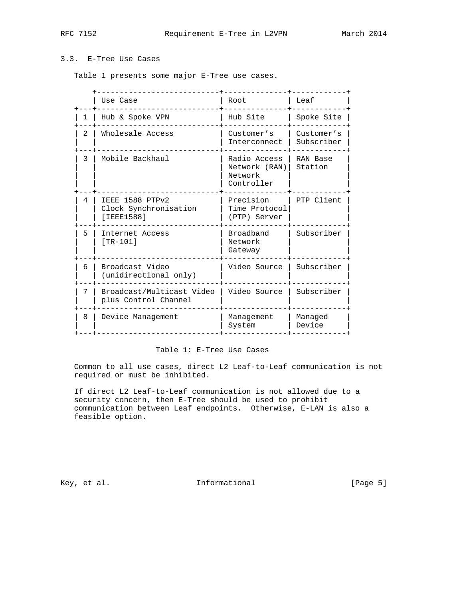# 3.3. E-Tree Use Cases

Table 1 presents some major E-Tree use cases.

|               | Use Case                                                | Root                                                   | Leaf                     |
|---------------|---------------------------------------------------------|--------------------------------------------------------|--------------------------|
| 1             | Hub & Spoke VPN                                         | Hub Site                                               | Spoke Site               |
| $\mathcal{L}$ | Wholesale Access                                        | Customer's<br>Interconnect                             | Customer's<br>Subscriber |
| 3             | Mobile Backhaul                                         | Radio Access<br>Network (RAN)<br>Network<br>Controller | RAN Base<br>Station      |
| 4             | IEEE 1588 PTPv2<br>Clock Synchronisation<br>[ IEEE1588] | Precision<br>Time Protocol<br>(PTP) Server             | PTP Client               |
| 5             | Internet Access<br>$[TR-101]$                           | Broadband<br>Network<br>Gateway                        | Subscriber               |
| 6             | Broadcast Video<br>(unidirectional only)                | Video Source                                           | Subscriber               |
| 7             | Broadcast/Multicast Video<br>plus Control Channel       | Video Source                                           | Subscriber               |
| 8             | Device Management                                       | Management<br>System                                   | Managed<br>Device        |

## Table 1: E-Tree Use Cases

 Common to all use cases, direct L2 Leaf-to-Leaf communication is not required or must be inhibited.

 If direct L2 Leaf-to-Leaf communication is not allowed due to a security concern, then E-Tree should be used to prohibit communication between Leaf endpoints. Otherwise, E-LAN is also a feasible option.

Key, et al. 10. Informational 1. [Page 5]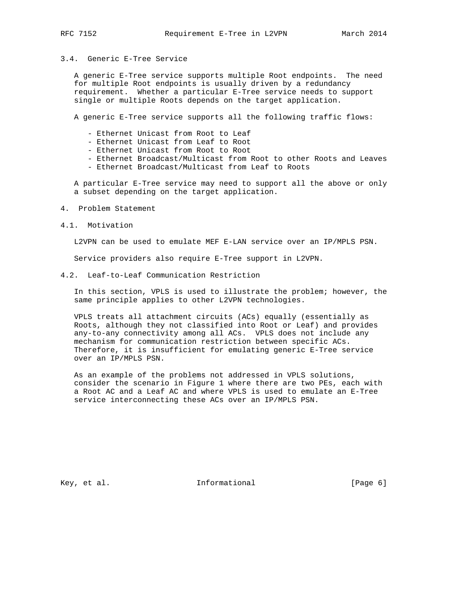## 3.4. Generic E-Tree Service

 A generic E-Tree service supports multiple Root endpoints. The need for multiple Root endpoints is usually driven by a redundancy requirement. Whether a particular E-Tree service needs to support single or multiple Roots depends on the target application.

A generic E-Tree service supports all the following traffic flows:

- Ethernet Unicast from Root to Leaf
- Ethernet Unicast from Leaf to Root
- Ethernet Unicast from Root to Root
- Ethernet Broadcast/Multicast from Root to other Roots and Leaves
- Ethernet Broadcast/Multicast from Leaf to Roots

 A particular E-Tree service may need to support all the above or only a subset depending on the target application.

- 4. Problem Statement
- 4.1. Motivation

L2VPN can be used to emulate MEF E-LAN service over an IP/MPLS PSN.

Service providers also require E-Tree support in L2VPN.

4.2. Leaf-to-Leaf Communication Restriction

 In this section, VPLS is used to illustrate the problem; however, the same principle applies to other L2VPN technologies.

 VPLS treats all attachment circuits (ACs) equally (essentially as Roots, although they not classified into Root or Leaf) and provides any-to-any connectivity among all ACs. VPLS does not include any mechanism for communication restriction between specific ACs. Therefore, it is insufficient for emulating generic E-Tree service over an IP/MPLS PSN.

 As an example of the problems not addressed in VPLS solutions, consider the scenario in Figure 1 where there are two PEs, each with a Root AC and a Leaf AC and where VPLS is used to emulate an E-Tree service interconnecting these ACs over an IP/MPLS PSN.

Key, et al.  $\qquad \qquad$  Informational [Page 6]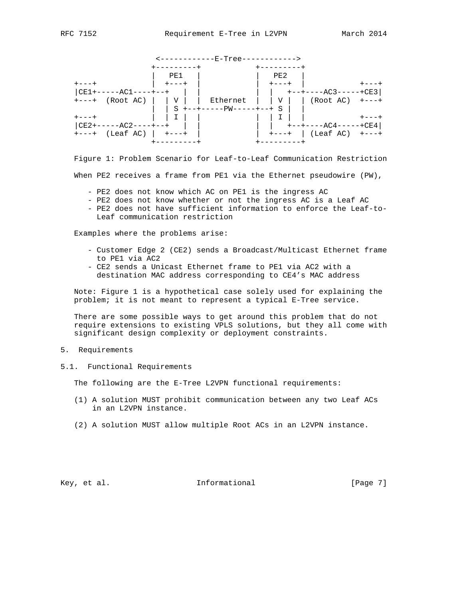|                                                              |            | <------------E-Tree------------> |                               |                                       |  |
|--------------------------------------------------------------|------------|----------------------------------|-------------------------------|---------------------------------------|--|
|                                                              | ---------+ |                                  | +--------                     |                                       |  |
|                                                              | PE1        |                                  | PE2                           |                                       |  |
| $+ - - - +$                                                  |            |                                  | $+ - - - +$                   |                                       |  |
| $CE1+---AC1---+-++$                                          |            |                                  | and the property of the state | +--+----AC3-----+CE3                  |  |
| +---+ (Root AC)     V     Ethernet     V     (Root AC) +---+ |            |                                  |                               |                                       |  |
|                                                              |            | $S$ +--+-----PW-----+--+ S       |                               |                                       |  |
| $+ - - - +$                                                  |            |                                  |                               |                                       |  |
| $CE2+---AC2---+-++$                                          |            |                                  |                               | +--+----AC4-----+CE4                  |  |
| $+---+$ (Leaf AC)   $+---+$                                  |            |                                  |                               | $\vert$ +---+ $\vert$ (Leaf AC) +---+ |  |
|                                                              |            |                                  | -------+                      |                                       |  |

 Figure 1: Problem Scenario for Leaf-to-Leaf Communication Restriction When PE2 receives a frame from PE1 via the Ethernet pseudowire (PW),

- PE2 does not know which AC on PE1 is the ingress AC
- PE2 does not know whether or not the ingress AC is a Leaf AC
- PE2 does not have sufficient information to enforce the Leaf-to- Leaf communication restriction

Examples where the problems arise:

- Customer Edge 2 (CE2) sends a Broadcast/Multicast Ethernet frame to PE1 via AC2
- CE2 sends a Unicast Ethernet frame to PE1 via AC2 with a destination MAC address corresponding to CE4's MAC address

 Note: Figure 1 is a hypothetical case solely used for explaining the problem; it is not meant to represent a typical E-Tree service.

 There are some possible ways to get around this problem that do not require extensions to existing VPLS solutions, but they all come with significant design complexity or deployment constraints.

- 5. Requirements
- 5.1. Functional Requirements

The following are the E-Tree L2VPN functional requirements:

- (1) A solution MUST prohibit communication between any two Leaf ACs in an L2VPN instance.
- (2) A solution MUST allow multiple Root ACs in an L2VPN instance.

Key, et al. 10. Informational 1. [Page 7]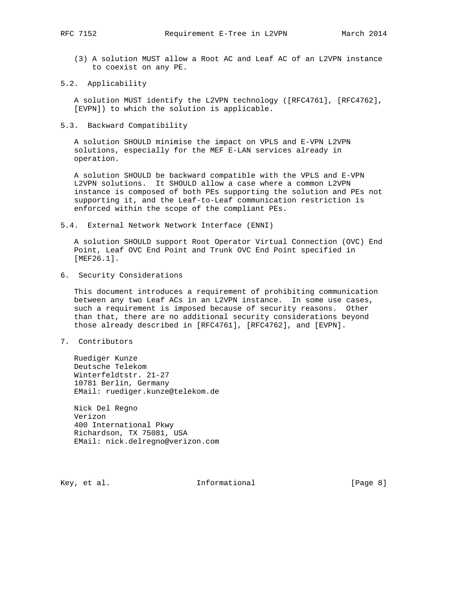(3) A solution MUST allow a Root AC and Leaf AC of an L2VPN instance to coexist on any PE.

#### 5.2. Applicability

 A solution MUST identify the L2VPN technology ([RFC4761], [RFC4762], [EVPN]) to which the solution is applicable.

5.3. Backward Compatibility

 A solution SHOULD minimise the impact on VPLS and E-VPN L2VPN solutions, especially for the MEF E-LAN services already in operation.

 A solution SHOULD be backward compatible with the VPLS and E-VPN L2VPN solutions. It SHOULD allow a case where a common L2VPN instance is composed of both PEs supporting the solution and PEs not supporting it, and the Leaf-to-Leaf communication restriction is enforced within the scope of the compliant PEs.

5.4. External Network Network Interface (ENNI)

 A solution SHOULD support Root Operator Virtual Connection (OVC) End Point, Leaf OVC End Point and Trunk OVC End Point specified in [MEF26.1].

6. Security Considerations

 This document introduces a requirement of prohibiting communication between any two Leaf ACs in an L2VPN instance. In some use cases, such a requirement is imposed because of security reasons. Other than that, there are no additional security considerations beyond those already described in [RFC4761], [RFC4762], and [EVPN].

7. Contributors

 Ruediger Kunze Deutsche Telekom Winterfeldtstr. 21-27 10781 Berlin, Germany EMail: ruediger.kunze@telekom.de

 Nick Del Regno Verizon 400 International Pkwy Richardson, TX 75081, USA EMail: nick.delregno@verizon.com

Key, et al. 10 1nformational 100 million [Page 8]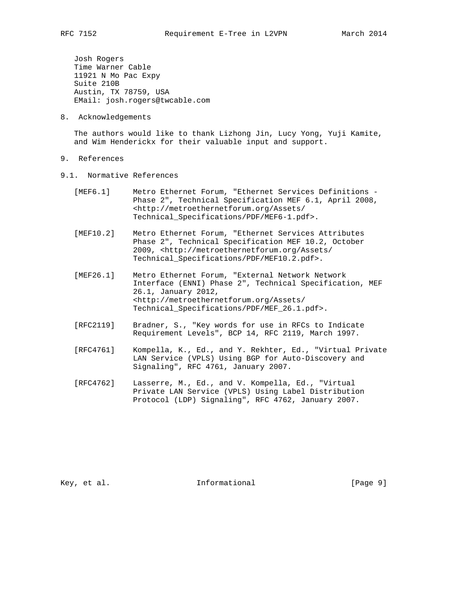Josh Rogers Time Warner Cable 11921 N Mo Pac Expy Suite 210B Austin, TX 78759, USA EMail: josh.rogers@twcable.com

8. Acknowledgements

 The authors would like to thank Lizhong Jin, Lucy Yong, Yuji Kamite, and Wim Henderickx for their valuable input and support.

- 9. References
- 9.1. Normative References
	- [MEF6.1] Metro Ethernet Forum, "Ethernet Services Definitions Phase 2", Technical Specification MEF 6.1, April 2008, <http://metroethernetforum.org/Assets/ Technical\_Specifications/PDF/MEF6-1.pdf>.
	- [MEF10.2] Metro Ethernet Forum, "Ethernet Services Attributes Phase 2", Technical Specification MEF 10.2, October 2009, <http://metroethernetforum.org/Assets/ Technical\_Specifications/PDF/MEF10.2.pdf>.
	- [MEF26.1] Metro Ethernet Forum, "External Network Network Interface (ENNI) Phase 2", Technical Specification, MEF 26.1, January 2012, <http://metroethernetforum.org/Assets/ Technical\_Specifications/PDF/MEF\_26.1.pdf>.
	- [RFC2119] Bradner, S., "Key words for use in RFCs to Indicate Requirement Levels", BCP 14, RFC 2119, March 1997.
	- [RFC4761] Kompella, K., Ed., and Y. Rekhter, Ed., "Virtual Private LAN Service (VPLS) Using BGP for Auto-Discovery and Signaling", RFC 4761, January 2007.
	- [RFC4762] Lasserre, M., Ed., and V. Kompella, Ed., "Virtual Private LAN Service (VPLS) Using Label Distribution Protocol (LDP) Signaling", RFC 4762, January 2007.

Key, et al.  $\qquad \qquad$  Informational [Page 9]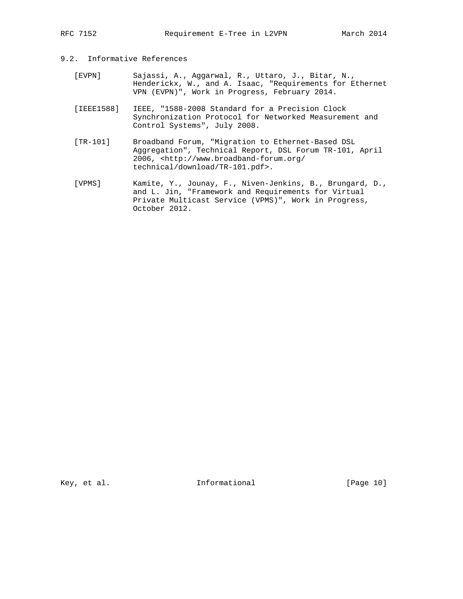## 9.2. Informative References

- [EVPN] Sajassi, A., Aggarwal, R., Uttaro, J., Bitar, N., Henderickx, W., and A. Isaac, "Requirements for Ethernet VPN (EVPN)", Work in Progress, February 2014.
- [IEEE1588] IEEE, "1588-2008 Standard for a Precision Clock Synchronization Protocol for Networked Measurement and Control Systems", July 2008.
- [TR-101] Broadband Forum, "Migration to Ethernet-Based DSL Aggregation", Technical Report, DSL Forum TR-101, April 2006, <http://www.broadband-forum.org/ technical/download/TR-101.pdf>.
- [VPMS] Kamite, Y., Jounay, F., Niven-Jenkins, B., Brungard, D., and L. Jin, "Framework and Requirements for Virtual Private Multicast Service (VPMS)", Work in Progress, October 2012.

Key, et al. 10 1nformational [Page 10]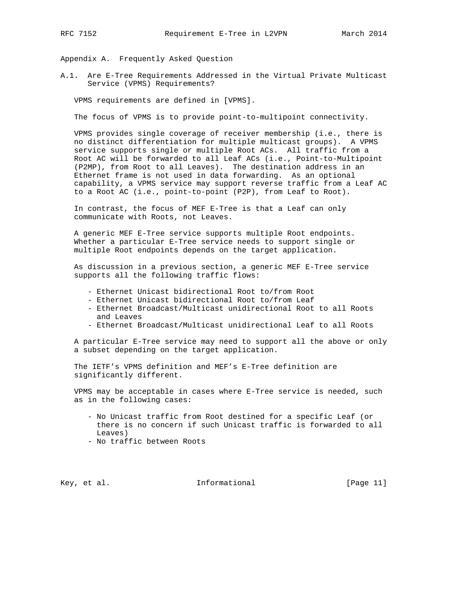Appendix A. Frequently Asked Question

A.1. Are E-Tree Requirements Addressed in the Virtual Private Multicast Service (VPMS) Requirements?

VPMS requirements are defined in [VPMS].

The focus of VPMS is to provide point-to-multipoint connectivity.

 VPMS provides single coverage of receiver membership (i.e., there is no distinct differentiation for multiple multicast groups). A VPMS service supports single or multiple Root ACs. All traffic from a Root AC will be forwarded to all Leaf ACs (i.e., Point-to-Multipoint (P2MP), from Root to all Leaves). The destination address in an Ethernet frame is not used in data forwarding. As an optional capability, a VPMS service may support reverse traffic from a Leaf AC to a Root AC (i.e., point-to-point (P2P), from Leaf to Root).

 In contrast, the focus of MEF E-Tree is that a Leaf can only communicate with Roots, not Leaves.

 A generic MEF E-Tree service supports multiple Root endpoints. Whether a particular E-Tree service needs to support single or multiple Root endpoints depends on the target application.

 As discussion in a previous section, a generic MEF E-Tree service supports all the following traffic flows:

- Ethernet Unicast bidirectional Root to/from Root
- Ethernet Unicast bidirectional Root to/from Leaf
- Ethernet Broadcast/Multicast unidirectional Root to all Roots and Leaves
- Ethernet Broadcast/Multicast unidirectional Leaf to all Roots

 A particular E-Tree service may need to support all the above or only a subset depending on the target application.

 The IETF's VPMS definition and MEF's E-Tree definition are significantly different.

 VPMS may be acceptable in cases where E-Tree service is needed, such as in the following cases:

- No Unicast traffic from Root destined for a specific Leaf (or there is no concern if such Unicast traffic is forwarded to all Leaves)
- No traffic between Roots

Key, et al.  $\qquad \qquad$  Informational [Page 11]